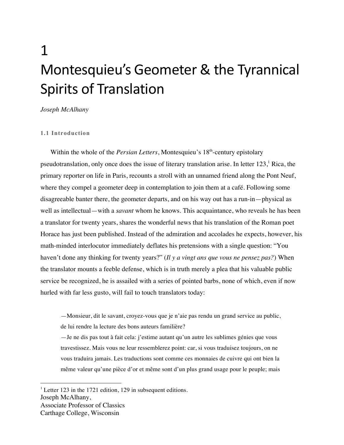# 1 Montesquieu's Geometer & the Tyrannical Spirits of Translation

*Joseph McAlhany*

## **1.1 Introduction**

Within the whole of the *Persian Letters*, Montesquieu's 18<sup>th</sup>-century epistolary pseudotranslation, only once does the issue of literary translation arise. In letter  $123<sup>1</sup>$ , Rica, the primary reporter on life in Paris, recounts a stroll with an unnamed friend along the Pont Neuf, where they compel a geometer deep in contemplation to join them at a café. Following some disagreeable banter there, the geometer departs, and on his way out has a run-in—physical as well as intellectual—with a *savant* whom he knows. This acquaintance, who reveals he has been a translator for twenty years, shares the wonderful news that his translation of the Roman poet Horace has just been published. Instead of the admiration and accolades he expects, however, his math-minded interlocutor immediately deflates his pretensions with a single question: "You haven't done any thinking for twenty years?" (*Il y a vingt ans que vous ne pensez pas?*) When the translator mounts a feeble defense, which is in truth merely a plea that his valuable public service be recognized, he is assailed with a series of pointed barbs, none of which, even if now hurled with far less gusto, will fail to touch translators today:

—Monsieur, dit le savant, croyez-vous que je n'aie pas rendu un grand service au public, de lui rendre la lecture des bons auteurs familière?

—Je ne dis pas tout à fait cela: j'estime autant qu'un autre les sublimes génies que vous travestissez. Mais vous ne leur ressemblerez point: car, si vous traduisez toujours, on ne vous traduira jamais. Les traductions sont comme ces monnaies de cuivre qui ont bien la même valeur qu'une pièce d'or et même sont d'un plus grand usage pour le peuple; mais

Joseph McAlhany, Associate Professor of Classics Carthage College, Wisconsin

<sup>&</sup>lt;sup>1</sup> Letter 123 in the 1721 edition, 129 in subsequent editions.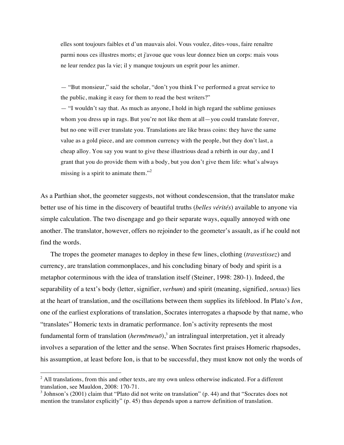elles sont toujours faibles et d'un mauvais aloi. Vous voulez, dites-vous, faire renaître parmi nous ces illustres morts; et j'avoue que vous leur donnez bien un corps: mais vous ne leur rendez pas la vie; il y manque toujours un esprit pour les animer.

— "But monsieur," said the scholar, "don't you think I've performed a great service to the public, making it easy for them to read the best writers?"

— "I wouldn't say that. As much as anyone, I hold in high regard the sublime geniuses whom you dress up in rags. But you're not like them at all—you could translate forever, but no one will ever translate you. Translations are like brass coins: they have the same value as a gold piece, and are common currency with the people, but they don't last, a cheap alloy. You say you want to give these illustrious dead a rebirth in our day, and I grant that you do provide them with a body, but you don't give them life: what's always missing is a spirit to animate them."<sup>2</sup>

As a Parthian shot, the geometer suggests, not without condescension, that the translator make better use of his time in the discovery of beautiful truths (*belles vérités*) available to anyone via simple calculation. The two disengage and go their separate ways, equally annoyed with one another. The translator, however, offers no rejoinder to the geometer's assault, as if he could not find the words.

The tropes the geometer manages to deploy in these few lines, clothing (*travestissez*) and currency, are translation commonplaces, and his concluding binary of body and spirit is a metaphor coterminous with the idea of translation itself (Steiner, 1998: 280-1). Indeed, the separability of a text's body (letter, signifier, *verbum*) and spirit (meaning, signified, *sensus*) lies at the heart of translation, and the oscillations between them supplies its lifeblood. In Plato's *Ion*, one of the earliest explorations of translation, Socrates interrogates a rhapsode by that name, who "translates" Homeric texts in dramatic performance. Ion's activity represents the most fundamental form of translation (*hermēmeuō*),<sup>3</sup> an intralingual interpretation, yet it already involves a separation of the letter and the sense. When Socrates first praises Homeric rhapsodes, his assumption, at least before Ion, is that to be successful, they must know not only the words of

 $2$  All translations, from this and other texts, are my own unless otherwise indicated. For a different translation, see Mauldon, 2008: 170-71.<br><sup>3</sup> Johnson's (2001) claim that "Plato did not write on translation" (p. 44) and that "Socrates does not

mention the translator explicitly" (p. 45) thus depends upon a narrow definition of translation.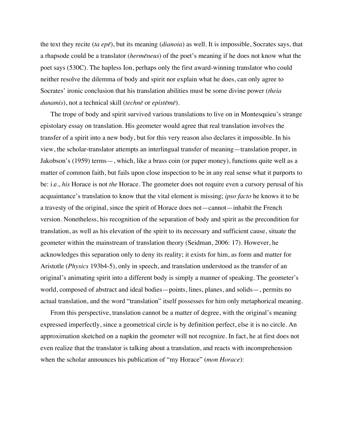the text they recite (*ta epē*), but its meaning (*dianoia*) as well. It is impossible, Socrates says, that a rhapsode could be a translator (*hermēneus*) of the poet's meaning if he does not know what the poet says (530C). The hapless Ion, perhaps only the first award-winning translator who could neither resolve the dilemma of body and spirit nor explain what he does, can only agree to Socrates' ironic conclusion that his translation abilities must be some divine power (*theia dunamis*), not a technical skill (*technē* or *epistēmē*).

The trope of body and spirit survived various translations to live on in Montesquieu's strange epistolary essay on translation. His geometer would agree that real translation involves the transfer of a spirit into a new body, but for this very reason also declares it impossible. In his view, the scholar-translator attempts an interlingual transfer of meaning—translation proper, in Jakobson's (1959) terms—, which, like a brass coin (or paper money), functions quite well as a matter of common faith, but fails upon close inspection to be in any real sense what it purports to be: i.e., *his* Horace is not *the* Horace. The geometer does not require even a cursory perusal of his acquaintance's translation to know that the vital element is missing; *ipso facto* he knows it to be a travesty of the original, since the spirit of Horace does not—cannot—inhabit the French version. Nonetheless, his recognition of the separation of body and spirit as the precondition for translation, as well as his elevation of the spirit to its necessary and sufficient cause, situate the geometer within the mainstream of translation theory (Seidman, 2006: 17). However, he acknowledges this separation only to deny its reality; it exists for him, as form and matter for Aristotle (*Physics* 193b4-5), only in speech, and translation understood as the transfer of an original's animating spirit into a different body is simply a manner of speaking. The geometer's world, composed of abstract and ideal bodies—points, lines, planes, and solids—, permits no actual translation, and the word "translation" itself possesses for him only metaphorical meaning.

From this perspective, translation cannot be a matter of degree, with the original's meaning expressed imperfectly, since a geometrical circle is by definition perfect, else it is no circle. An approximation sketched on a napkin the geometer will not recognize. In fact, he at first does not even realize that the translator is talking about a translation, and reacts with incomprehension when the scholar announces his publication of "my Horace" (*mon Horace*):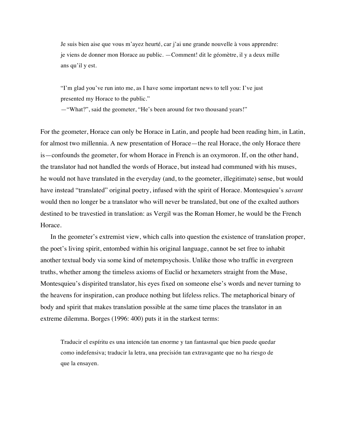Je suis bien aise que vous m'ayez heurté, car j'ai une grande nouvelle à vous apprendre: je viens de donner mon Horace au public. —Comment! dit le géomètre, il y a deux mille ans qu'il y est.

"I'm glad you've run into me, as I have some important news to tell you: I've just presented my Horace to the public."

—"What?", said the geometer, "He's been around for two thousand years!"

For the geometer, Horace can only be Horace in Latin, and people had been reading him, in Latin, for almost two millennia. A new presentation of Horace—the real Horace, the only Horace there is—confounds the geometer, for whom Horace in French is an oxymoron. If, on the other hand, the translator had not handled the words of Horace, but instead had communed with his muses, he would not have translated in the everyday (and, to the geometer, illegitimate) sense, but would have instead "translated" original poetry, infused with the spirit of Horace. Montesquieu's *savant* would then no longer be a translator who will never be translated, but one of the exalted authors destined to be travestied in translation: as Vergil was the Roman Homer, he would be the French Horace.

In the geometer's extremist view, which calls into question the existence of translation proper, the poet's living spirit, entombed within his original language, cannot be set free to inhabit another textual body via some kind of metempsychosis. Unlike those who traffic in evergreen truths, whether among the timeless axioms of Euclid or hexameters straight from the Muse, Montesquieu's dispirited translator, his eyes fixed on someone else's words and never turning to the heavens for inspiration, can produce nothing but lifeless relics. The metaphorical binary of body and spirit that makes translation possible at the same time places the translator in an extreme dilemma. Borges (1996: 400) puts it in the starkest terms:

Traducir el espíritu es una intención tan enorme y tan fantasmal que bien puede quedar como indefensiva; traducir la letra, una precisión tan extravagante que no ha riesgo de que la ensayen.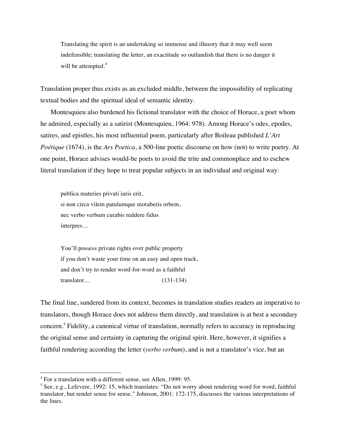Translating the spirit is an undertaking so immense and illusory that it may well seem indefensible; translating the letter, an exactitude so outlandish that there is no danger it will be attempted.<sup>4</sup>

Translation proper thus exists as an excluded middle, between the impossibility of replicating textual bodies and the spiritual ideal of semantic identity.

Montesquieu also burdened his fictional translator with the choice of Horace, a poet whom he admired, especially as a satirist (Montesquieu, 1964: 978). Among Horace's odes, epodes, satires, and epistles, his most influential poem, particularly after Boileau published *L'Art Poétique* (1674), is the *Ars Poetica*, a 500-line poetic discourse on how (not) to write poetry. At one point, Horace advises would-be poets to avoid the trite and commonplace and to eschew literal translation if they hope to treat popular subjects in an individual and original way:

publica materies privati iuris erit, si non circa vilem patulumque moraberis orbem, nec verbo verbum curabis reddere fidus interpres…

You'll possess private rights over public property if you don't waste your time on an easy and open track, and don't try to render word-for-word as a faithful translator… (131-134)

The final line, sundered from its context, becomes in translation studies readers an imperative to translators, though Horace does not address them directly, and translation is at best a secondary concern.<sup>5</sup> Fidelity, a canonical virtue of translation, normally refers to accuracy in reproducing the original sense and certainty in capturing the original spirit. Here, however, it signifies a faithful rendering according the letter (*verbo verbum*), and is not a translator's vice, but an

 <sup>4</sup> For a translation with a different sense, see Allen, 1999: 95.

<sup>&</sup>lt;sup>5</sup> See, e.g., Lefevere, 1992: 15, which translates: "Do not worry about rendering word for word, faithful translator, but render sense for sense." Johnson, 2001: 172-175, discusses the various interpretations of the lines.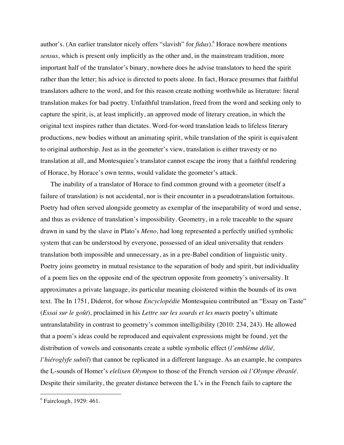author's. (An earlier translator nicely offers "slavish" for *fidus*).<sup>6</sup> Horace nowhere mentions *sensus*, which is present only implicitly as the other and, in the mainstream tradition, more important half of the translator's binary, nowhere does he advise translators to heed the spirit rather than the letter; his advice is directed to poets alone. In fact, Horace presumes that faithful translators adhere to the word, and for this reason create nothing worthwhile as literature: literal translation makes for bad poetry. Unfaithful translation, freed from the word and seeking only to capture the spirit, is, at least implicitly, an approved mode of literary creation, in which the original text inspires rather than dictates. Word-for-word translation leads to lifeless literary productions, new bodies without an animating spirit, while translation of the spirit is equivalent to original authorship. Just as in the geometer's view, translation is either travesty or no translation at all, and Montesquieu's translator cannot escape the irony that a faithful rendering of Horace, by Horace's own terms, would validate the geometer's attack.

The inability of a translator of Horace to find common ground with a geometer (itself a failure of translation) is not accidental, nor is their encounter in a pseudotranslation fortuitous. Poetry had often served alongside geometry as exemplar of the inseparability of word and sense, and thus as evidence of translation's impossibility. Geometry, in a role traceable to the square drawn in sand by the slave in Plato's *Meno*, had long represented a perfectly unified symbolic system that can be understood by everyone, possessed of an ideal universality that renders translation both impossible and unnecessary, as in a pre-Babel condition of linguistic unity. Poetry joins geometry in mutual resistance to the separation of body and spirit, but individuality of a poem lies on the opposite end of the spectrum opposite from geometry's universality. It approximates a private language, its particular meaning cloistered within the bounds of its own text. The In 1751, Diderot, for whose *Encyclopédie* Montesquieu contributed an "Essay on Taste" (*Essai sur le goût*), proclaimed in his *Lettre sur les sourds et les muets* poetry's ultimate untranslatability in contrast to geometry's common intelligibility (2010: 234, 243). He allowed that a poem's ideas could be reproduced and equivalent expressions might be found, yet the distribution of vowels and consonants create a subtle symbolic effect (*l'emblème délié, l'hiéroglyfe subtil*) that cannot be replicated in a different language. As an example, he compares the L-sounds of Homer's *elelixen Olympon* to those of the French version *où l'Olympe ébranlé*. Despite their similarity, the greater distance between the L's in the French fails to capture the

 $6$  Fairclough, 1929: 461.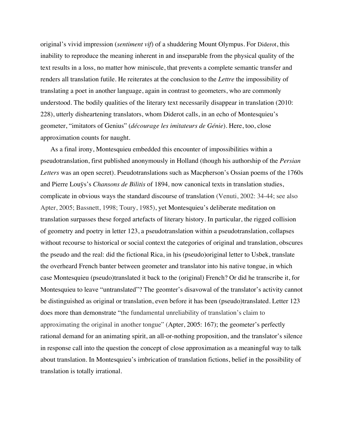original's vivid impression (*sentiment vif*) of a shuddering Mount Olympus. For Diderot, this inability to reproduce the meaning inherent in and inseparable from the physical quality of the text results in a loss, no matter how miniscule, that prevents a complete semantic transfer and renders all translation futile. He reiterates at the conclusion to the *Lettre* the impossibility of translating a poet in another language, again in contrast to geometers, who are commonly understood. The bodily qualities of the literary text necessarily disappear in translation (2010: 228), utterly disheartening translators, whom Diderot calls, in an echo of Montesquieu's geometer, "imitators of Genius" (*décourage les imitateurs de Génie*). Here, too, close approximation counts for naught.

As a final irony, Montesquieu embedded this encounter of impossibilities within a pseudotranslation, first published anonymously in Holland (though his authorship of the *Persian Letters* was an open secret). Pseudotranslations such as Macpherson's Ossian poems of the 1760s and Pierre Louÿs's *Chansons de Bilitis* of 1894*,* now canonical texts in translation studies, complicate in obvious ways the standard discourse of translation (Venuti, 2002: 34-44; see also Apter, 2005; Bassnett, 1998; Toury, 1985), yet Montesquieu's deliberate meditation on translation surpasses these forged artefacts of literary history. In particular, the rigged collision of geometry and poetry in letter 123, a pseudotranslation within a pseudotranslation, collapses without recourse to historical or social context the categories of original and translation, obscures the pseudo and the real: did the fictional Rica, in his (pseudo)original letter to Usbek, translate the overheard French banter between geometer and translator into his native tongue, in which case Montesquieu (pseudo)translated it back to the (original) French? Or did he transcribe it, for Montesquieu to leave "untranslated"? The geomter's disavowal of the translator's activity cannot be distinguished as original or translation, even before it has been (pseudo)translated. Letter 123 does more than demonstrate "the fundamental unreliability of translation's claim to approximating the original in another tongue" (Apter, 2005: 167); the geometer's perfectly rational demand for an animating spirit, an all-or-nothing proposition, and the translator's silence in response call into the question the concept of close approximation as a meaningful way to talk about translation. In Montesquieu's imbrication of translation fictions, belief in the possibility of translation is totally irrational.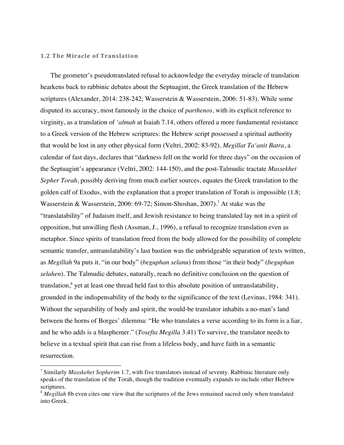### **1.2 The Miracle of Translation**

The geometer's pseudotranslated refusal to acknowledge the everyday miracle of translation hearkens back to rabbinic debates about the Septuagint, the Greek translation of the Hebrew scriptures (Alexander, 2014: 238-242; Wasserstein & Wasserstein, 2006: 51-83). While some disputed its accuracy, most famously in the choice of *parthenos*, with its explicit reference to virginity, as a translation of *'almah* at Isaiah 7.14, others offered a more fundamental resistance to a Greek version of the Hebrew scriptures: the Hebrew script possessed a spiritual authority that would be lost in any other physical form (Veltri, 2002: 83-92). *Megillat Ta'anit Batra*, a calendar of fast days, declares that "darkness fell on the world for three days" on the occasion of the Septuagint's appearance (Veltri, 2002: 144-150), and the post-Talmudic tractate *Massekhet Sepher Torah*, possibly deriving from much earlier sources, equates the Greek translation to the golden calf of Exodus, with the explanation that a proper translation of Torah is impossible (1.8; Wasserstein & Wasserstein, 2006: 69-72; Simon-Shoshan, 2007).<sup>7</sup> At stake was the "translatability" of Judaism itself, and Jewish resistance to being translated lay not in a spirit of opposition, but unwilling flesh (Assman, J., 1996), a refusal to recognize translation even as metaphor. Since spirits of translation freed from the body allowed for the possibility of complete semantic transfer, untranslatability's last bastion was the unbridgeable separation of texts written, as *Megillah* 9a puts it, "in our body" (*beguphan selanu*) from those "in their body" (*beguphan selahen*). The Talmudic debates, naturally, reach no definitive conclusion on the question of translation,<sup>8</sup> yet at least one thread held fast to this absolute position of untranslatability, grounded in the indispensability of the body to the significance of the text (Levinas, 1984: 341). Without the separability of body and spirit, the would-be translator inhabits a no-man's land between the horns of Borges' dilemma: "He who translates a verse according to its form is a liar, and he who adds is a blasphemer." (*Tosefta Megilla* 3.41) To survive, the translator needs to believe in a textual spirit that can rise from a lifeless body, and have faith in a semantic resurrection.

 <sup>7</sup> Similarly *Masskehet Sopherim* 1.7, with five translators instead of seventy. Rabbinic literature only speaks of the translation of the Torah, though the tradition eventually expands to include other Hebrew scriptures.

<sup>8</sup> *Megillah* 8b even cites one view that the scriptures of the Jews remained sacred only when translated into Greek.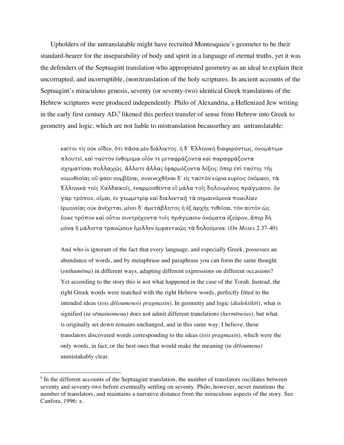Upholders of the untranslatable might have recruited Montesquieu's geometer to be their standard-bearer for the inseparability of body and spirit in a language of eternal truths, yet it was the defenders of the Septuagint translation who appropriated geometry as an ideal to explain their uncorrupted, and incorruptible, (non)translation of the holy scriptures. In ancient accounts of the Septuagint's miraculous genesis, seventy (or seventy-two) identical Greek translations of the Hebrew scriptures were produced independently. Philo of Alexandria, a Hellenized Jew writing in the early first century AD,<sup>9</sup> likened this perfect transfer of sense from Hebrew into Greek to geometry and logic, which are not liable to mistranslation becausethey are untranslatable:

καίτοι τίς οὐκ οἶδεν, ὅτι πᾶσα μὲν διάλεκτος, ἡ δ' Ἑλληνικὴ διαφερόντως, ὀνομάτων πλουτεῖ, καὶ ταὐτὸν ἐνθύμημα οἷόν τε μεταφράζοντα καὶ παραφράζοντα σχηματίσαι πολλαχῶς, ἄλλοτε ἄλλας ἐφαρμόζοντα λέξεις; ὅπερ ἐπὶ ταύτης τῆς νομοθεσίας οὔ φασι συμβῆναι, συνενεχθῆναι δ' εἰς ταὐτὸν κύρια κυρίοις ὀνόμασι, τὰ Ἑλληνικὰ τοῖς Χαλδαϊκοῖς, ἐναρμοσθέντα εὖ μάλα τοῖς δηλουμένοις πράγμασιν. ὃν γὰρ τρόπον, οἶμαι, ἐν γεωμετρίᾳ καὶ διαλεκτικῇ τὰ σημαινόμενα ποικιλίαν ἑρμηνείας οὐκ ἀνέχεται, μένει δ' ἀμετάβλητος ἡ ἐξ ἀρχῆς τεθεῖσα, τὸν αὐτὸν ὡς ἔοικε τρόπον καὶ οὗτοι συντρέχοντα τοῖς πράγμασιν ὀνόματα ἐξεῦρον, ἅπερ δὴ μόνα ἢ μάλιστα τρανώσειν ἔμελλεν ἐμφαντικῶς τὰ δηλούμενα. (*On Moses* 2.37-40)

And who is ignorant of the fact that every language, and especially Greek, possesses an abundance of words, and by metaphrase and paraphrase you can form the same thought (*enthumēma*) in different ways, adapting different expressions on different occasions? Yet according to the story this is not what happened in the case of the Torah. Instead, the right Greek words were matched with the right Hebrew words, perfectly fitted to the intended ideas (*tois dēloumenois pragmasin*). In geometry and logic (*dialektikēi*), what is signified (*ta sēmainomena*) does not admit different translations (*hermēneias*), but what is originally set down remains unchanged, and in this same way, I believe, these translators discovered words corresponding to the ideas (*tois pragmasin*), which were the only words, in fact, or the best ones that would make the meaning (*ta dēloumena*) unmistakably clear.

 $9$  In the different accounts of the Septuagint translation, the number of translators oscillates between seventy and seventy-two before eventually settling on seventy. Philo, however, never mentions the number of translators, and maintains a narrative distance from the miraculous aspects of the story. See Canfora, 1996: x.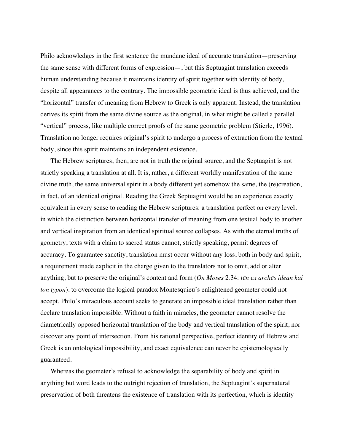Philo acknowledges in the first sentence the mundane ideal of accurate translation—preserving the same sense with different forms of expression—, but this Septuagint translation exceeds human understanding because it maintains identity of spirit together with identity of body, despite all appearances to the contrary. The impossible geometric ideal is thus achieved, and the "horizontal" transfer of meaning from Hebrew to Greek is only apparent. Instead, the translation derives its spirit from the same divine source as the original, in what might be called a parallel "vertical" process, like multiple correct proofs of the same geometric problem (Stierle, 1996). Translation no longer requires original's spirit to undergo a process of extraction from the textual body, since this spirit maintains an independent existence.

The Hebrew scriptures, then, are not in truth the original source, and the Septuagint is not strictly speaking a translation at all. It is, rather, a different worldly manifestation of the same divine truth, the same universal spirit in a body different yet somehow the same, the (re)creation, in fact, of an identical original. Reading the Greek Septuagint would be an experience exactly equivalent in every sense to reading the Hebrew scriptures: a translation perfect on every level, in which the distinction between horizontal transfer of meaning from one textual body to another and vertical inspiration from an identical spiritual source collapses. As with the eternal truths of geometry, texts with a claim to sacred status cannot, strictly speaking, permit degrees of accuracy. To guarantee sanctity, translation must occur without any loss, both in body and spirit, a requirement made explicit in the charge given to the translators not to omit, add or alter anything, but to preserve the original's content and form (*On Moses* 2.34: *tēn ex archēs idean kai ton typon*). to overcome the logical paradox Montesquieu's enlightened geometer could not accept, Philo's miraculous account seeks to generate an impossible ideal translation rather than declare translation impossible. Without a faith in miracles, the geometer cannot resolve the diametrically opposed horizontal translation of the body and vertical translation of the spirit, nor discover any point of intersection. From his rational perspective, perfect identity of Hebrew and Greek is an ontological impossibility, and exact equivalence can never be epistemologically guaranteed.

Whereas the geometer's refusal to acknowledge the separability of body and spirit in anything but word leads to the outright rejection of translation, the Septuagint's supernatural preservation of both threatens the existence of translation with its perfection, which is identity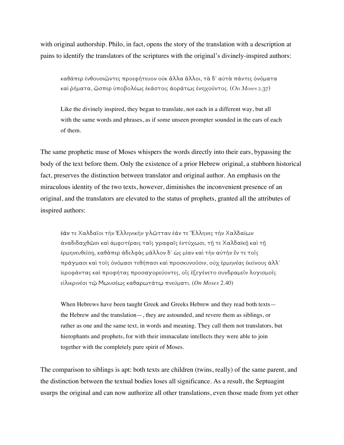with original authorship. Philo, in fact, opens the story of the translation with a description at pains to identify the translators of the scriptures with the original's divinely-inspired authors:

καθάπερ ἐνθουσιῶντες προεφήτευον οὐκ ἄλλα ἄλλοι, τὰ δ' αὐτὰ πάντες ὀνόματα καὶ ῥήματα, ὥσπερ ὑποβολέως ἑκάστοις ἀοράτως ἐνηχοῦντος. (*On Moses* 2.37)

Like the divinely inspired, they began to translate, not each in a different way, but all with the same words and phrases, as if some unseen prompter sounded in the ears of each of them.

The same prophetic muse of Moses whispers the words directly into their ears, bypassing the body of the text before them. Only the existence of a prior Hebrew original, a stubborn historical fact, preserves the distinction between translator and original author. An emphasis on the miraculous identity of the two texts, however, diminishes the inconvenient presence of an original, and the translators are elevated to the status of prophets, granted all the attributes of inspired authors:

ἐάν τε Χαλδαῖοι τὴν Ἑλληνικὴν γλῶτταν ἐάν τε Ἕλληνες τὴν Χαλδαίων ἀναδιδαχθῶσι καὶ ἀμφοτέραις ταῖς γραφαῖς ἐντύχωσι, τῇ τε Χαλδαϊκῇ καὶ τῇ ἑρμηνευθείσῃ, καθάπερ ἀδελφὰς μᾶλλον δ' ὡς μίαν καὶ τὴν αὐτὴν ἔν τε τοῖς πράγμασι καὶ τοῖς ὀνόμασι τεθήπασι καὶ προσκυνοῦσιν, οὐχ ἑρμηνέας ἐκείνους ἀλλ᾽ ἱεροφάντας καὶ προφήτας προσαγορεύοντες, οἷς ἐξεγένετο συνδραμεῖν λογισμοῖς εἱλικρινέσι τῷ Μωυσέως καθαρωτάτῳ πνεύματι. (*On Moses* 2.40)

When Hebrews have been taught Greek and Greeks Hebrew and they read both texts the Hebrew and the translation—, they are astounded, and revere them as siblings, or rather as one and the same text, in words and meaning. They call them not translators, but hierophants and prophets, for with their immaculate intellects they were able to join together with the completely pure spirit of Moses.

The comparison to siblings is apt: both texts are children (twins, really) of the same parent, and the distinction between the textual bodies loses all significance. As a result, the Septuagint usurps the original and can now authorize all other translations, even those made from yet other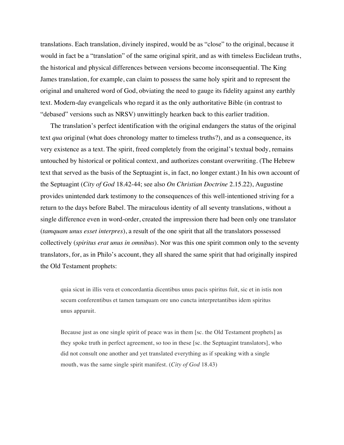translations. Each translation, divinely inspired, would be as "close" to the original, because it would in fact be a "translation" of the same original spirit, and as with timeless Euclidean truths, the historical and physical differences between versions become inconsequential. The King James translation, for example, can claim to possess the same holy spirit and to represent the original and unaltered word of God, obviating the need to gauge its fidelity against any earthly text. Modern-day evangelicals who regard it as the only authoritative Bible (in contrast to "debased" versions such as NRSV) unwittingly hearken back to this earlier tradition.

The translation's perfect identification with the original endangers the status of the original text *qua* original (what does chronology matter to timeless truths?), and as a consequence, its very existence as a text. The spirit, freed completely from the original's textual body, remains untouched by historical or political context, and authorizes constant overwriting. (The Hebrew text that served as the basis of the Septuagint is, in fact, no longer extant.) In his own account of the Septuagint (*City of God* 18.42-44; see also *On Christian Doctrine* 2.15.22), Augustine provides unintended dark testimony to the consequences of this well-intentioned striving for a return to the days before Babel. The miraculous identity of all seventy translations, without a single difference even in word-order, created the impression there had been only one translator (*tamquam unus esset interpres*), a result of the one spirit that all the translators possessed collectively (*spiritus erat unus in omnibus*). Nor was this one spirit common only to the seventy translators, for, as in Philo's account, they all shared the same spirit that had originally inspired the Old Testament prophets:

quia sicut in illis vera et concordantia dicentibus unus pacis spiritus fuit, sic et in istis non secum conferentibus et tamen tamquam ore uno cuncta interpretantibus idem spiritus unus apparuit.

Because just as one single spirit of peace was in them [sc. the Old Testament prophets] as they spoke truth in perfect agreement, so too in these [sc. the Septuagint translators], who did not consult one another and yet translated everything as if speaking with a single mouth, was the same single spirit manifest. (*City of God* 18.43)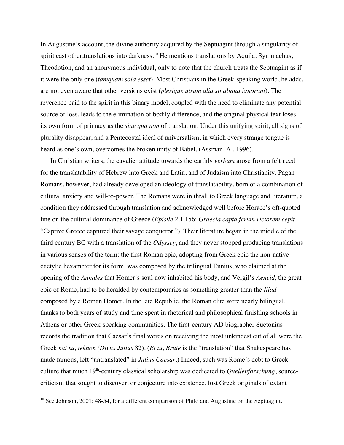In Augustine's account, the divine authority acquired by the Septuagint through a singularity of spirit cast other, translations into darkness.<sup>10</sup> He mentions translations by Aquila, Symmachus, Theodotion, and an anonymous individual, only to note that the church treats the Septuagint as if it were the only one (*tamquam sola esset*). Most Christians in the Greek-speaking world, he adds, are not even aware that other versions exist (*plerique utrum alia sit aliqua ignorant*). The reverence paid to the spirit in this binary model, coupled with the need to eliminate any potential source of loss, leads to the elimination of bodily difference, and the original physical text loses its own form of primacy as the *sine qua non* of translation. Under this unifying spirit, all signs of plurality disappear, and a Pentecostal ideal of universalism, in which every strange tongue is heard as one's own, overcomes the broken unity of Babel. (Assman, A., 1996).

In Christian writers, the cavalier attitude towards the earthly *verbum* arose from a felt need for the translatability of Hebrew into Greek and Latin, and of Judaism into Christianity. Pagan Romans, however, had already developed an ideology of translatability, born of a combination of cultural anxiety and will-to-power. The Romans were in thrall to Greek language and literature, a condition they addressed through translation and acknowledged well before Horace's oft-quoted line on the cultural dominance of Greece (*Epistle* 2.1.156: *Graecia capta ferum victorem cepit*. "Captive Greece captured their savage conqueror."). Their literature began in the middle of the third century BC with a translation of the *Odyssey*, and they never stopped producing translations in various senses of the term: the first Roman epic, adopting from Greek epic the non-native dactylic hexameter for its form, was composed by the trilingual Ennius, who claimed at the opening of the *Annales* that Homer's soul now inhabited his body, and Vergil's *Aeneid,* the great epic of Rome, had to be heralded by contemporaries as something greater than the *Iliad* composed by a Roman Homer. In the late Republic, the Roman elite were nearly bilingual, thanks to both years of study and time spent in rhetorical and philosophical finishing schools in Athens or other Greek-speaking communities. The first-century AD biographer Suetonius records the tradition that Caesar's final words on receiving the most unkindest cut of all were the Greek *kai su, teknon (Divus Julius* 82). (*Et tu, Brute* is the "translation" that Shakespeare has made famous, left "untranslated" in *Julius Caesar*.) Indeed, such was Rome's debt to Greek culture that much 19th-century classical scholarship was dedicated to *Quellenforschung*, sourcecriticism that sought to discover, or conjecture into existence, lost Greek originals of extant

<sup>&</sup>lt;sup>10</sup> See Johnson, 2001: 48-54, for a different comparison of Philo and Augustine on the Septuagint.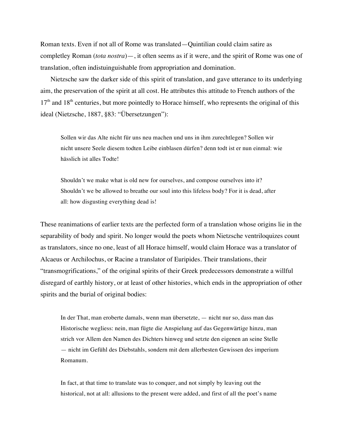Roman texts. Even if not all of Rome was translated—Quintilian could claim satire as completley Roman (*tota nostra*)—, it often seems as if it were, and the spirit of Rome was one of translation, often indistuinguishable from appropriation and domination.

Nietzsche saw the darker side of this spirit of translation, and gave utterance to its underlying aim, the preservation of the spirit at all cost. He attributes this attitude to French authors of the  $17<sup>th</sup>$  and  $18<sup>th</sup>$  centuries, but more pointedly to Horace himself, who represents the original of this ideal (Nietzsche, 1887, §83: "Übersetzungen"):

Sollen wir das Alte nicht für uns neu machen und uns in ihm zurechtlegen? Sollen wir nicht unsere Seele diesem todten Leibe einblasen dürfen? denn todt ist er nun einmal: wie hässlich ist alles Todte!

Shouldn't we make what is old new for ourselves, and compose ourselves into it? Shouldn't we be allowed to breathe our soul into this lifeless body? For it is dead, after all: how disgusting everything dead is!

These reanimations of earlier texts are the perfected form of a translation whose origins lie in the separability of body and spirit. No longer would the poets whom Nietzsche ventriloquizes count as translators, since no one, least of all Horace himself, would claim Horace was a translator of Alcaeus or Archilochus, or Racine a translator of Euripides. Their translations, their "transmogrifications," of the original spirits of their Greek predecessors demonstrate a willful disregard of earthly history, or at least of other histories, which ends in the appropriation of other spirits and the burial of original bodies:

In der That, man eroberte damals, wenn man übersetzte, — nicht nur so, dass man das Historische wegliess: nein, man fügte die Anspielung auf das Gegenwärtige hinzu, man strich vor Allem den Namen des Dichters hinweg und setzte den eigenen an seine Stelle — nicht im Gefühl des Diebstahls, sondern mit dem allerbesten Gewissen des imperium Romanum.

In fact, at that time to translate was to conquer, and not simply by leaving out the historical, not at all: allusions to the present were added, and first of all the poet's name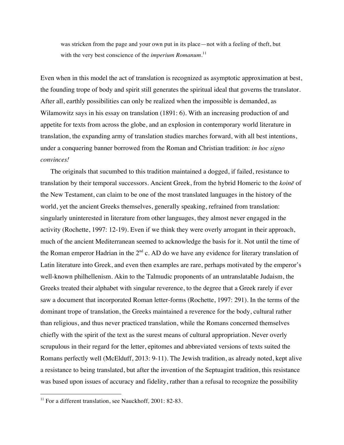was stricken from the page and your own put in its place—not with a feeling of theft, but with the very best conscience of the *imperium Romanum*. 11

Even when in this model the act of translation is recognized as asymptotic approximation at best, the founding trope of body and spirit still generates the spiritual ideal that governs the translator. After all, earthly possibilities can only be realized when the impossible is demanded, as Wilamowitz says in his essay on translation (1891: 6). With an increasing production of and appetite for texts from across the globe, and an explosion in contemporary world literature in translation, the expanding army of translation studies marches forward, with all best intentions, under a conquering banner borrowed from the Roman and Christian tradition: *in hoc signo convinces!*

The originals that sucumbed to this tradition maintained a dogged, if failed, resistance to translation by their temporal successors. Ancient Greek, from the hybrid Homeric to the *koinē* of the New Testament, can claim to be one of the most translated languages in the history of the world, yet the ancient Greeks themselves, generally speaking, refrained from translation: singularly uninterested in literature from other languages, they almost never engaged in the activity (Rochette, 1997: 12-19). Even if we think they were overly arrogant in their approach, much of the ancient Mediterranean seemed to acknowledge the basis for it. Not until the time of the Roman emperor Hadrian in the  $2<sup>nd</sup>$  c. AD do we have any evidence for literary translation of Latin literature into Greek, and even then examples are rare, perhaps motivated by the emperor's well-known philhellenism. Akin to the Talmudic proponents of an untranslatable Judaism, the Greeks treated their alphabet with singular reverence, to the degree that a Greek rarely if ever saw a document that incorporated Roman letter-forms (Rochette, 1997: 291). In the terms of the dominant trope of translation, the Greeks maintained a reverence for the body, cultural rather than religious, and thus never practiced translation, while the Romans concerned themselves chiefly with the spirit of the text as the surest means of cultural appropriation. Never overly scrupulous in their regard for the letter, epitomes and abbreviated versions of texts suited the Romans perfectly well (McElduff, 2013: 9-11). The Jewish tradition, as already noted, kept alive a resistance to being translated, but after the invention of the Septuagint tradition, this resistance was based upon issues of accuracy and fidelity, rather than a refusal to recognize the possibility

 <sup>11</sup> For a different translation, see Nauckhoff*,* 2001: 82-83.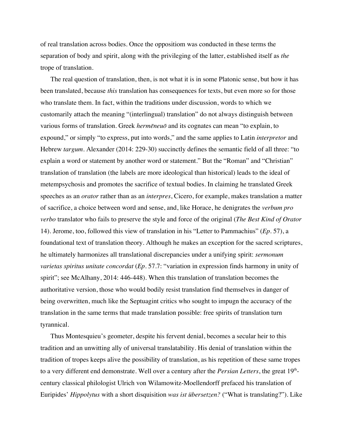of real translation across bodies. Once the oppositiom was conducted in these terms the separation of body and spirit, along with the privileging of the latter, established itself as *the*  trope of translation.

The real question of translation, then, is not what it is in some Platonic sense, but how it has been translated, because *this* translation has consequences for texts, but even more so for those who translate them. In fact, within the traditions under discussion, words to which we customarily attach the meaning "(interlingual) translation" do not always distinguish between various forms of translation. Greek *hermēneuō* and its cognates can mean "to explain, to expound," or simply "to express, put into words," and the same applies to Latin *interpretor* and Hebrew *targum*. Alexander (2014: 229-30) succinctly defines the semantic field of all three: "to explain a word or statement by another word or statement." But the "Roman" and "Christian" translation of translation (the labels are more ideological than historical) leads to the ideal of metempsychosis and promotes the sacrifice of textual bodies. In claiming he translated Greek speeches as an *orator* rather than as an *interpres*, Cicero, for example, makes translation a matter of sacrifice, a choice between word and sense, and, like Horace, he denigrates the *verbum pro verbo* translator who fails to preserve the style and force of the original (*The Best Kind of Orator* 14). Jerome, too, followed this view of translation in his "Letter to Pammachius" (*Ep*. 57), a foundational text of translation theory. Although he makes an exception for the sacred scriptures, he ultimately harmonizes all translational discrepancies under a unifying spirit: *sermonum varietas spiritus unitate concordat* (*Ep.* 57.7: "variation in expression finds harmony in unity of spirit"; see McAlhany, 2014: 446-448). When this translation of translation becomes the authoritative version, those who would bodily resist translation find themselves in danger of being overwritten, much like the Septuagint critics who sought to impugn the accuracy of the translation in the same terms that made translation possible: free spirits of translation turn tyrannical.

Thus Montesquieu's geometer, despite his fervent denial, becomes a secular heir to this tradition and an unwitting ally of universal translatability. His denial of translation within the tradition of tropes keeps alive the possibility of translation, as his repetition of these same tropes to a very different end demonstrate. Well over a century after the *Persian Letters*, the great 19<sup>th</sup>century classical philologist Ulrich von Wilamowitz-Moellendorff prefaced his translation of Euripides' *Hippolytus* with a short disquisition *was ist übersetzen?* ("What is translating?"). Like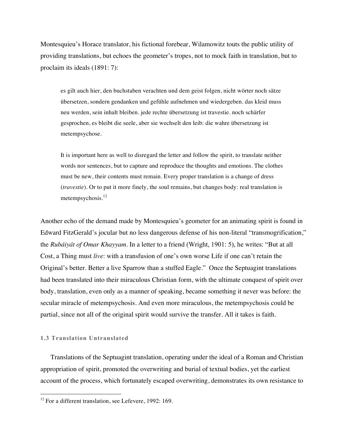Montesquieu's Horace translator, his fictional forebear, Wilamowitz touts the public utility of providing translations, but echoes the geometer's tropes, not to mock faith in translation, but to proclaim its ideals (1891: 7):

es gilt auch hier, den buchstaben verachten und dem geist folgen, nicht wörter noch sätze übersetzen, sondern gendanken und gefühle aufnehmen und wiedergeben. das kleid muss neu werden, sein inhalt bleiben. jede rechte übersetzung ist travestie. noch schärfer gesprochen, es bleibt die seele, aber sie wechselt den leib: die wahre übersetzung ist metempsychose.

It is important here as well to disregard the letter and follow the spirit, to translate neither words nor sentences, but to capture and reproduce the thoughts and emotions. The clothes must be new, their contents must remain. Every proper translation is a change of dress (*travestie*). Or to put it more finely, the soul remains, but changes body: real translation is metempsychosis. $^{12}$ 

Another echo of the demand made by Montesquieu's geometer for an animating spirit is found in Edward FitzGerald's jocular but no less dangerous defense of his non-literal "transmogrification," the *Rubáiyát of Omar Khayyam*. In a letter to a friend (Wright, 1901: 5), he writes: "But at all Cost, a Thing must *live*: with a transfusion of one's own worse Life if one can't retain the Original's better. Better a live Sparrow than a stuffed Eagle." Once the Septuagint translations had been translated into their miraculous Christian form, with the ultimate conquest of spirit over body, translation, even only as a manner of speaking, became something it never was before: the secular miracle of metempsychosis. And even more miraculous, the metempsychosis could be partial, since not all of the original spirit would survive the transfer. All it takes is faith.

### **1.3 Translation Untranslated**

Translations of the Septuagint translation, operating under the ideal of a Roman and Christian appropriation of spirit, promoted the overwriting and burial of textual bodies, yet the earliest account of the process, which fortunately escaped overwriting, demonstrates its own resistance to

 $12$  For a different translation, see Lefevere, 1992: 169.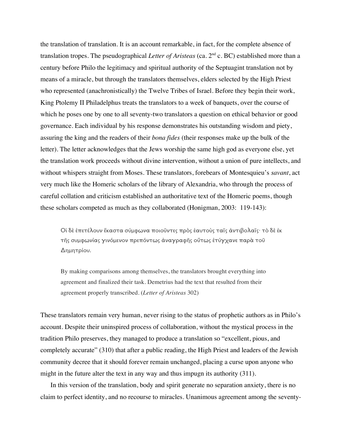the translation of translation. It is an account remarkable, in fact, for the complete absence of translation tropes. The pseudographical *Letter of Aristeas* (ca. 2<sup>nd</sup> c. BC) established more than a century before Philo the legitimacy and spiritual authority of the Septuagint translation not by means of a miracle, but through the translators themselves, elders selected by the High Priest who represented (anachronistically) the Twelve Tribes of Israel. Before they begin their work, King Ptolemy II Philadelphus treats the translators to a week of banquets, over the course of which he poses one by one to all seventy-two translators a question on ethical behavior or good governance. Each individual by his response demonstrates his outstanding wisdom and piety, assuring the king and the readers of their *bona fides* (their responses make up the bulk of the letter). The letter acknowledges that the Jews worship the same high god as everyone else, yet the translation work proceeds without divine intervention, without a union of pure intellects, and without whispers straight from Moses. These translators, forebears of Montesquieu's *savant*, act very much like the Homeric scholars of the library of Alexandria, who through the process of careful collation and criticism established an authoritative text of the Homeric poems, though these scholars competed as much as they collaborated (Honigman, 2003: 119-143):

Οἱ δὲ ἐπετέλουν ἕκαστα σύμφωνα ποιοῦντες πρὸς ἑαυτοὺς ταῖς ἀντιβολαῖς· τὸ δὲ ἐκ τῆς συμφωνίας γινόμενον πρεπόντως ἀναγραφῆς οὕτως ἐτύγχανε παρὰ τοῦ Δημητρίου.

By making comparisons among themselves, the translators brought everything into agreement and finalized their task. Demetrius had the text that resulted from their agreement properly transcribed. (*Letter of Aristeas* 302)

These translators remain very human, never rising to the status of prophetic authors as in Philo's account. Despite their uninspired process of collaboration, without the mystical process in the tradition Philo preserves, they managed to produce a translation so "excellent, pious, and completely accurate" (310) that after a public reading, the High Priest and leaders of the Jewish community decree that it should forever remain unchanged, placing a curse upon anyone who might in the future alter the text in any way and thus impugn its authority (311).

In this version of the translation, body and spirit generate no separation anxiety, there is no claim to perfect identity, and no recourse to miracles. Unanimous agreement among the seventy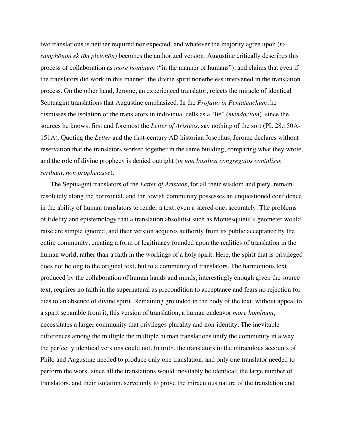two translations is neither required nor expected, and whatever the majority agree upon (*to sumphōnon ek tōn pleionōn*) becomes the authorized version. Augustine critically describes this process of collaboration as *more hominum* ("in the manner of humans"), and claims that even if the translators did work in this manner, the divine spirit nonetheless intervened in the translation process. On the other hand, Jerome, an experienced translator, rejects the miracle of identical Septuagint translations that Augustine emphasized. In the *Profatio in Pentateuchum*, he dismisses the isolation of the translators in individual cells as a "lie" (*mendacium*), since the sources he knows, first and foremost the *Letter of Aristeas*, say nothing of the sort (PL 28.150A-151A). Quoting the *Letter* and the first-century AD historian Josephus*,* Jerome declares without reservation that the translators worked together in the same building, comparing what they wrote, and the role of divine prophecy is denied outright (*in una basilica congregatos contulisse scribant, non prophetasse*).

The Septuagint translators of the *Letter of Aristeas*, for all their wisdom and piety, remain resolutely along the horizontal, and thr Jewish community possesses an unquestioned confidence in the ability of human translators to render a text, even a sacred one, accurately. The problems of fidelity and epistemology that a translation absolutist such as Montesquieiu's geometer would raise are simple ignored, and their version acquires authority from its public acceptance by the entire community, creating a form of legitimacy founded upon the realities of translation in the human world, rather than a faith in the workings of a holy spirit. Here, the spirit that is privileged does not belong to the original text, but to a community of translators. The harmonious text produced by the collaboration of human hands and minds, interestingly enough given the source text, requires no faith in the supernatural as precondition to acceptance and fears no rejection for dies to an absence of divine spirit. Remaining grounded in the body of the text, without appeal to a spirit separable from it, this version of translation, a human endeavor *more hominum*, necessitates a larger community that privileges plurality and non-identity. The inevitable differences among the multiple the multiple human translations unify the community in a way the perfectly identical versions could not. In truth, the translators in the miraculous accounts of Philo and Augustine needed to produce only one translation, and only one translator needed to perform the work, since all the translations would inevitably be identical; the large number of translators, and their isolation, serve only to prove the miraculous nature of the translation and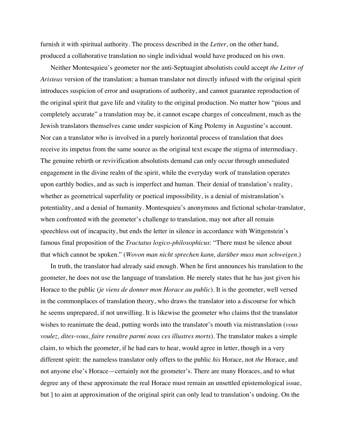furnish it with spiritual authority. The process described in the *Letter*, on the other hand, produced a collaborative translation no single individual would have produced on his own.

Neither Montesquieu's geometer nor the anti-Septuagint absolutists could accept *the Letter of Aristeas* version of the translation: a human translator not directly infused with the original spirit introduces suspicion of error and usuprations of authority, and cannot guarantee reproduction of the original spirit that gave life and vitality to the original production. No matter how "pious and completely accurate" a translation may be, it cannot escape charges of concealment, much as the Jewish translators themselves came under suspicion of King Ptolemy in Augustine's account. Nor can a translator who is involved in a purely horizontal process of translation that does receive its impetus from the same source as the original text escape the stigma of intermediacy. The genuine rebirth or revivification absolutists demand can only occur through unmediated engagement in the divine realm of the spirit, while the everyday work of translation operates upon earthly bodies, and as such is imperfect and human. Their denial of translation's reality, whether as geometrical superfulity or poetical impossibility, is a denial of mistranslation's potentiality, and a denial of humanity. Montesquieu's anonymous and fictional scholar-translator, when confronted with the geometer's challenge to translation, may not after all remain speechless out of incapacity, but ends the letter in silence in accordance with Wittgenstein's famous final proposition of the *Tractatus logico-philosophicus*: "There must be silence about that which cannot be spoken." (*Wovon man nicht sprechen kann, darüber muss man schweigen.*)

In truth, the translator had already said enough. When he first announces his translation to the geometer, he does not use the language of translation. He merely states that he has just given his Horace to the public (*je viens de donner mon Horace au public*). It is the geometer, well versed in the commonplaces of translation theory, who draws the translator into a discourse for which he seems unprepared, if not unwilling. It is likewise the geometer who claims thst the translator wishes to reanimate the dead, putting words into the translator's mouth via mistranslation (*vous voulez, dites-vous, faire renaître parmi nous ces illustres morts*). The translator makes a simple claim, to which the geometer, if he had ears to hear, would agree in letter, though in a very different spirit: the nameless translator only offers to the public *his* Horace, not *the* Horace, and not anyone else's Horace—certainly not the geometer's. There are many Horaces, and to what degree any of these approximate the real Horace must remain an unsettled epistemological issue, but ] to aim at approximation of the original spirit can only lead to translation's undoing. On the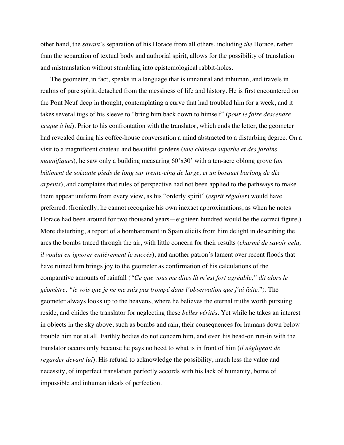other hand, the *savant*'s separation of his Horace from all others, including *the* Horace, rather than the separation of textual body and authorial spirit, allows for the possibility of translation and mistranslation without stumbling into epistemological rabbit-holes.

The geometer, in fact, speaks in a language that is unnatural and inhuman, and travels in realms of pure spirit, detached from the messiness of life and history. He is first encountered on the Pont Neuf deep in thought, contemplating a curve that had troubled him for a week, and it takes several tugs of his sleeve to "bring him back down to himself" (*pour le faire descendre jusque à lui*). Prior to his confrontation with the translator, which ends the letter, the geometer had revealed during his coffee-house conversation a mind abstracted to a disturbing degree. On a visit to a magnificent chateau and beautiful gardens (*une château superbe et des jardins magnifiques*), he saw only a building measuring 60'x30' with a ten-acre oblong grove (*un bâtiment de soixante pieds de long sur trente-cinq de large, et un bosquet barlong de dix arpents*), and complains that rules of perspective had not been applied to the pathways to make them appear uniform from every view, as his "orderly spirit" (*esprit régulier*) would have preferred. (Ironically, he cannot recognize his own inexact approximations, as when he notes Horace had been around for two thousand years—eighteen hundred would be the correct figure.) More disturbing, a report of a bombardment in Spain elicits from him delight in describing the arcs the bombs traced through the air, with little concern for their results (*charmé de savoir cela, il voulut en ignorer entièrement le succès*), and another patron's lament over recent floods that have ruined him brings joy to the geometer as confirmation of his calculations of the comparative amounts of rainfall (*"Ce que vous me dites là m'est fort agréable," dit alors le géomètre, "je vois que je ne me suis pas trompé dans l'observation que j'ai faite*."). The geometer always looks up to the heavens, where he believes the eternal truths worth pursuing reside, and chides the translator for neglecting these *belles vérités*. Yet while he takes an interest in objects in the sky above, such as bombs and rain, their consequences for humans down below trouble him not at all. Earthly bodies do not concern him, and even his head-on run-in with the translator occurs only because he pays no heed to what is in front of him (*il négligeait de regarder devant lui*). His refusal to acknowledge the possibility, much less the value and necessity, of imperfect translation perfectly accords with his lack of humanity, borne of impossible and inhuman ideals of perfection.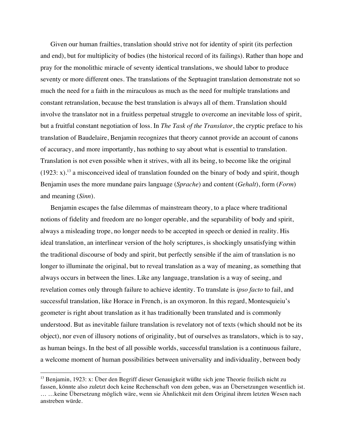Given our human frailties, translation should strive not for identity of spirit (its perfection and end), but for multiplicity of bodies (the historical record of its failings). Rather than hope and pray for the monolithic miracle of seventy identical translations, we should labor to produce seventy or more different ones. The translations of the Septuagint translation demonstrate not so much the need for a faith in the miraculous as much as the need for multiple translations and constant retranslation, because the best translation is always all of them. Translation should involve the translator not in a fruitless perpetual struggle to overcome an inevitable loss of spirit, but a fruitful constant negotiation of loss. In *The Task of the Translator*, the cryptic preface to his translation of Baudelaire, Benjamin recognizes that theory cannot provide an account of canons of accuracy, and more importantly, has nothing to say about what is essential to translation. Translation is not even possible when it strives, with all its being, to become like the original  $(1923: x)$ .<sup>13</sup> a misconceived ideal of translation founded on the binary of body and spirit, though Benjamin uses the more mundane pairs language (*Sprache*) and content (*Gehalt*), form (*Form*) and meaning (*Sinn*).

Benjamin escapes the false dilemmas of mainstream theory, to a place where traditional notions of fidelity and freedom are no longer operable, and the separability of body and spirit, always a misleading trope, no longer needs to be accepted in speech or denied in reality. His ideal translation, an interlinear version of the holy scriptures, is shockingly unsatisfying within the traditional discourse of body and spirit, but perfectly sensible if the aim of translation is no longer to illuminate the original, but to reveal translation as a way of meaning, as something that always occurs in between the lines. Like any language, translation is a way of seeing, and revelation comes only through failure to achieve identity. To translate is *ipso facto* to fail, and successful translation, like Horace in French, is an oxymoron. In this regard, Montesquieiu's geometer is right about translation as it has traditionally been translated and is commonly understood. But as inevitable failure translation is revelatory not of texts (which should not be its object), nor even of illusory notions of originality, but of ourselves as translators, which is to say, as human beings. In the best of all possible worlds, successful translation is a continuous failure, a welcome moment of human possibilities between universality and individuality, between body

 $13$  Benjamin, 1923: x: Über den Begriff dieser Genauigkeit wüßte sich jene Theorie freilich nicht zu fassen, könnte also zuletzt doch keine Rechenschaft von dem geben, was an Übersetzungen wesentlich ist. … …keine Übersetzung möglich wäre, wenn sie Ähnlichkeit mit dem Original ihrem letzten Wesen nach anstreben würde.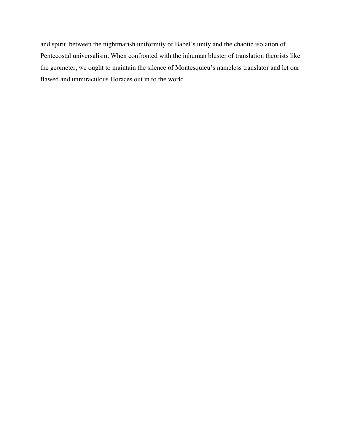and spirit, between the nightmarish uniformity of Babel's unity and the chaotic isolation of Pentecostal universalism. When confronted with the inhuman bluster of translation theorists like the geometer, we ought to maintain the silence of Montesquieu's nameless translator and let our flawed and unmiraculous Horaces out in to the world.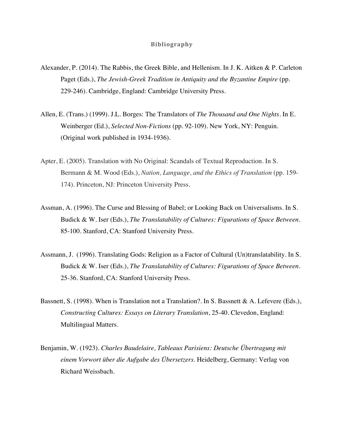#### **Bibliography**

- Alexander, P. (2014). The Rabbis, the Greek Bible, and Hellenism. In J. K. Aitken & P. Carleton Paget (Eds.), *The Jewish-Greek Tradition in Antiquity and the Byzantine Empire* (pp. 229-246). Cambridge, England: Cambridge University Press.
- Allen, E. (Trans.) (1999). J.L. Borges: The Translators of *The Thousand and One Nights*. In E. Weinberger (Ed.), *Selected Non-Fictions* (pp. 92-109). New York, NY: Penguin. (Original work published in 1934-1936).
- Apter, E. (2005). Translation with No Original: Scandals of Textual Reproduction. In S. Bermann & M. Wood (Eds.), *Nation, Language, and the Ethics of Translation* (pp. 159- 174). Princeton, NJ: Princeton University Press.
- Assman, A. (1996). The Curse and Blessing of Babel; or Looking Back on Universalisms. In S. Budick & W. Iser (Eds.), *The Translatability of Cultures: Figurations of Space Between*. 85-100. Stanford, CA: Stanford University Press.
- Assmann, J. (1996). Translating Gods: Religion as a Factor of Cultural (Un)translatability. In S. Budick & W. Iser (Eds.), *The Translatability of Cultures: Figurations of Space Between*. 25-36. Stanford, CA: Stanford University Press.
- Bassnett, S. (1998). When is Translation not a Translation?. In S. Bassnett & A. Lefevere (Eds.), *Constructing Cultures: Essays on Literary Translation*, 25-40. Clevedon, England: Multilingual Matters.
- Benjamin, W. (1923). *Charles Baudelaire, Tableaux Parisiens: Deutsche Übertragung mit einem Vorwort über die Aufgabe des Übersetzers.* Heidelberg, Germany: Verlag von Richard Weissbach.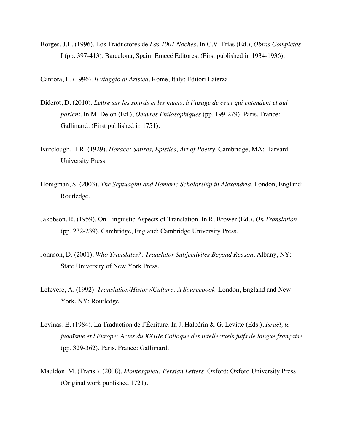Borges, J.L. (1996). Los Traductores de *Las 1001 Noches*. In C.V. Frías (Ed.), *Obras Completas* I (pp. 397-413). Barcelona, Spain: Emecé Editores. (First published in 1934-1936).

Canfora, L. (1996). *Il viaggio di Aristea.* Rome, Italy: Editori Laterza.

- Diderot, D. (2010). *Lettre sur les sourds et les muets, à l'usage de ceux qui entendent et qui parlent*. In M. Delon (Ed.), *Oeuvres Philosophiques* (pp. 199-279). Paris, France: Gallimard. (First published in 1751).
- Fairclough, H.R. (1929). *Horace: Satires, Epistles, Art of Poetry*. Cambridge, MA: Harvard University Press.
- Honigman, S. (2003). *The Septuagint and Homeric Scholarship in Alexandria*. London, England: Routledge.
- Jakobson, R. (1959). On Linguistic Aspects of Translation. In R. Brower (Ed.), *On Translation* (pp. 232-239). Cambridge, England: Cambridge University Press.
- Johnson, D. (2001). *Who Translates?: Translator Subjectivites Beyond Reason.* Albany, NY: State University of New York Press.
- Lefevere, A. (1992). *Translation/History/Culture: A Sourcebook*. London, England and New York, NY: Routledge.
- Levinas, E. (1984). La Traduction de l'Écriture. In J. Halpérin & G. Levitte (Eds.), *Israël, le judaïsme et l'Europe: Actes du XXIIIe Colloque des intellectuels juifs de langue française* (pp. 329-362). Paris, France: Gallimard.
- Mauldon, M. (Trans.). (2008). *Montesquieu: Persian Letters.* Oxford: Oxford University Press. (Original work published 1721).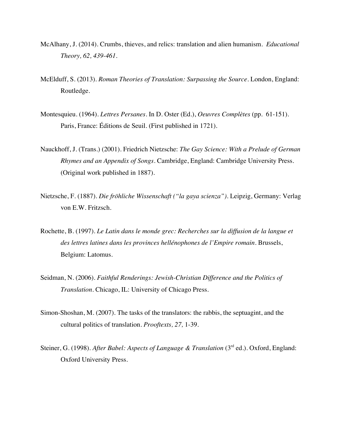- McAlhany, J. (2014). Crumbs, thieves, and relics: translation and alien humanism. *Educational Theory, 62, 439-461.*
- McElduff, S. (2013). *Roman Theories of Translation: Surpassing the Source.* London, England: Routledge.
- Montesquieu. (1964). *Lettres Persanes*. In D. Oster (Ed.), *Oeuvres Complètes* (pp. 61-151). Paris, France: Éditions de Seuil. (First published in 1721).
- Nauckhoff, J. (Trans.) (2001). Friedrich Nietzsche: *The Gay Science: With a Prelude of German Rhymes and an Appendix of Songs.* Cambridge, England: Cambridge University Press. (Original work published in 1887).
- Nietzsche, F. (1887). *Die fröhliche Wissenschaft ("la gaya scienza")*. Leipzig, Germany: Verlag von E.W. Fritzsch.
- Rochette, B. (1997). *Le Latin dans le monde grec: Recherches sur la diffusion de la langue et des lettres latines dans les provinces hellénophones de l'Empire romain.* Brussels, Belgium: Latomus.
- Seidman, N. (2006). *Faithful Renderings: Jewish-Christian Difference and the Politics of Translation*. Chicago, IL: University of Chicago Press.
- Simon-Shoshan, M. (2007). The tasks of the translators: the rabbis, the septuagint, and the cultural politics of translation. *Prooftexts, 27,* 1-39.
- Steiner, G. (1998). *After Babel: Aspects of Language & Translation* (3rd ed.). Oxford, England: Oxford University Press.